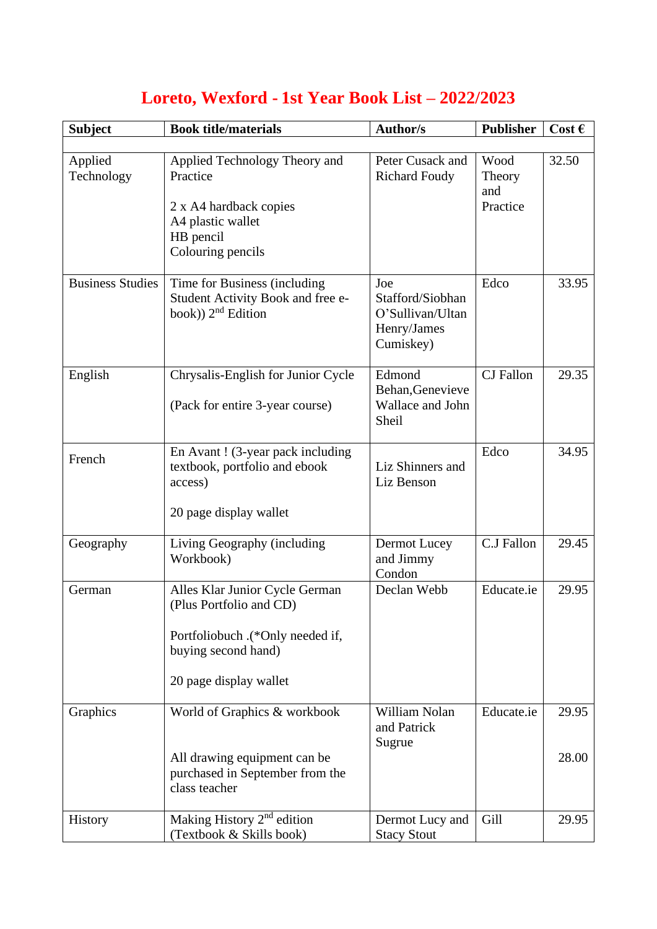| <b>Subject</b>          | <b>Book title/materials</b>                                                                                                                    | <b>Author/s</b>                                                         | <b>Publisher</b>                  | Cost $\epsilon$ |
|-------------------------|------------------------------------------------------------------------------------------------------------------------------------------------|-------------------------------------------------------------------------|-----------------------------------|-----------------|
|                         |                                                                                                                                                |                                                                         |                                   |                 |
| Applied<br>Technology   | Applied Technology Theory and<br>Practice<br>2 x A4 hardback copies<br>A4 plastic wallet<br>HB pencil<br>Colouring pencils                     | Peter Cusack and<br><b>Richard Foudy</b>                                | Wood<br>Theory<br>and<br>Practice | 32.50           |
| <b>Business Studies</b> | Time for Business (including<br>Student Activity Book and free e-<br>book)) $2nd$ Edition                                                      | Joe<br>Stafford/Siobhan<br>O'Sullivan/Ultan<br>Henry/James<br>Cumiskey) | Edco                              | 33.95           |
| English                 | Chrysalis-English for Junior Cycle<br>(Pack for entire 3-year course)                                                                          | Edmond<br>Behan, Genevieve<br>Wallace and John<br>Sheil                 | <b>CJ</b> Fallon                  | 29.35           |
| French                  | En Avant! (3-year pack including<br>textbook, portfolio and ebook<br>access)<br>20 page display wallet                                         | Liz Shinners and<br>Liz Benson                                          | Edco                              | 34.95           |
| Geography               | Living Geography (including<br>Workbook)                                                                                                       | Dermot Lucey<br>and Jimmy<br>Condon                                     | C.J Fallon                        | 29.45           |
| German                  | Alles Klar Junior Cycle German<br>(Plus Portfolio and CD)<br>Portfoliobuch .(*Only needed if,<br>buying second hand)<br>20 page display wallet | Declan Webb                                                             | Educate.ie                        | 29.95           |
| Graphics                | World of Graphics & workbook<br>All drawing equipment can be<br>purchased in September from the<br>class teacher                               | William Nolan<br>and Patrick<br>Sugrue                                  | Educate.ie                        | 29.95<br>28.00  |
| History                 | Making History $2nd$ edition<br>(Textbook & Skills book)                                                                                       | Dermot Lucy and<br><b>Stacy Stout</b>                                   | Gill                              | 29.95           |

## **Loreto, Wexford - 1st Year Book List – 2022/2023**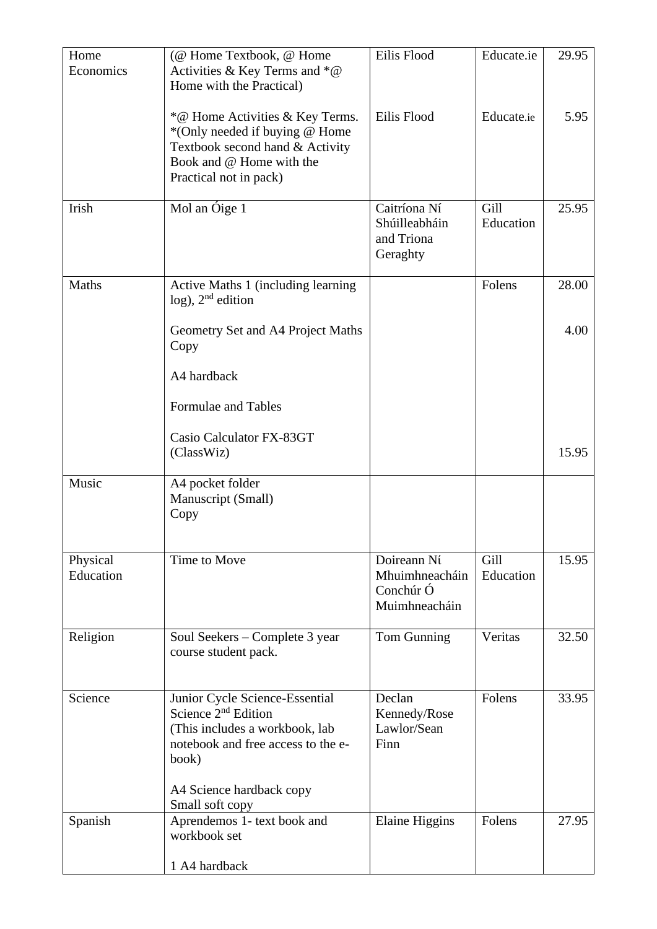| Home<br>Economics     | (@ Home Textbook, @ Home<br>Activities & Key Terms and $*@$<br>Home with the Practical)                                                                                                 | Eilis Flood                                                 | Educate.ie        | 29.95 |
|-----------------------|-----------------------------------------------------------------------------------------------------------------------------------------------------------------------------------------|-------------------------------------------------------------|-------------------|-------|
|                       | *@ Home Activities & Key Terms.<br>*(Only needed if buying @ Home<br>Textbook second hand & Activity<br>Book and @ Home with the<br>Practical not in pack)                              | Eilis Flood                                                 | Educate.ie        | 5.95  |
| Irish                 | Mol an Óige 1                                                                                                                                                                           | Caitríona Ní<br>Shúilleabháin<br>and Triona<br>Geraghty     | Gill<br>Education | 25.95 |
| <b>Maths</b>          | Active Maths 1 (including learning<br>$log$ ), $2nd$ edition                                                                                                                            |                                                             | Folens            | 28.00 |
|                       | Geometry Set and A4 Project Maths<br>Copy                                                                                                                                               |                                                             |                   | 4.00  |
|                       | A4 hardback                                                                                                                                                                             |                                                             |                   |       |
|                       | Formulae and Tables                                                                                                                                                                     |                                                             |                   |       |
|                       | Casio Calculator FX-83GT<br>(ClassWiz)                                                                                                                                                  |                                                             |                   | 15.95 |
| Music                 | A4 pocket folder<br>Manuscript (Small)<br>Copy                                                                                                                                          |                                                             |                   |       |
| Physical<br>Education | Time to Move                                                                                                                                                                            | Doireann Ní<br>Mhuimhneacháin<br>Conchúr Ó<br>Muimhneacháin | Gill<br>Education | 15.95 |
| Religion              | Soul Seekers – Complete 3 year<br>course student pack.                                                                                                                                  | Tom Gunning                                                 | Veritas           | 32.50 |
| Science               | Junior Cycle Science-Essential<br>Science $2nd$ Edition<br>(This includes a workbook, lab<br>notebook and free access to the e-<br>book)<br>A4 Science hardback copy<br>Small soft copy | Declan<br>Kennedy/Rose<br>Lawlor/Sean<br>Finn               | Folens            | 33.95 |
| Spanish               | Aprendemos 1- text book and<br>workbook set<br>1 A4 hardback                                                                                                                            | <b>Elaine Higgins</b>                                       | Folens            | 27.95 |